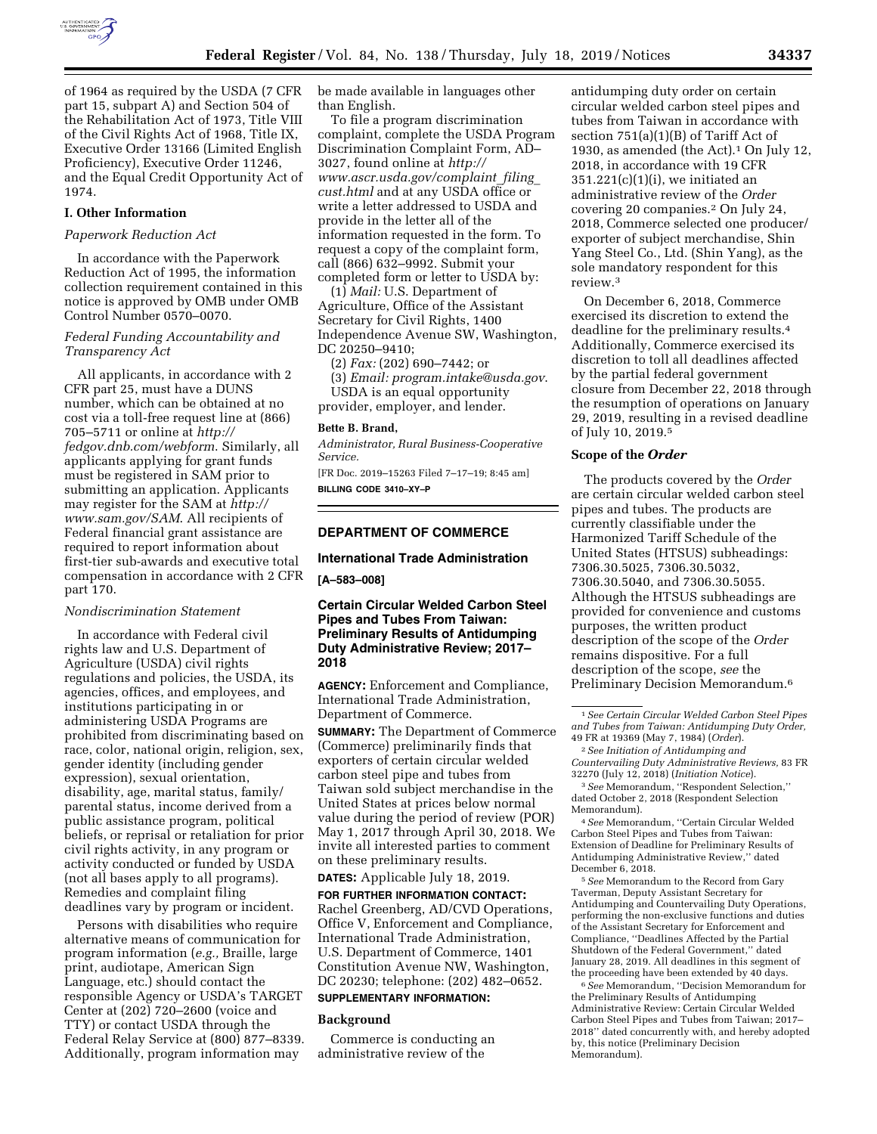

of 1964 as required by the USDA (7 CFR part 15, subpart A) and Section 504 of the Rehabilitation Act of 1973, Title VIII of the Civil Rights Act of 1968, Title IX, Executive Order 13166 (Limited English Proficiency), Executive Order 11246, and the Equal Credit Opportunity Act of 1974.

#### **I. Other Information**

### *Paperwork Reduction Act*

In accordance with the Paperwork Reduction Act of 1995, the information collection requirement contained in this notice is approved by OMB under OMB Control Number 0570–0070.

### *Federal Funding Accountability and Transparency Act*

All applicants, in accordance with 2 CFR part 25, must have a DUNS number, which can be obtained at no cost via a toll-free request line at (866) 705–5711 or online at *[http://](http://fedgov.dnb.com/webform) [fedgov.dnb.com/webform](http://fedgov.dnb.com/webform)*. Similarly, all applicants applying for grant funds must be registered in SAM prior to submitting an application. Applicants may register for the SAM at *[http://](http://www.sam.gov/SAM) [www.sam.gov/SAM](http://www.sam.gov/SAM)*. All recipients of Federal financial grant assistance are required to report information about first-tier sub-awards and executive total compensation in accordance with 2 CFR part 170.

### *Nondiscrimination Statement*

In accordance with Federal civil rights law and U.S. Department of Agriculture (USDA) civil rights regulations and policies, the USDA, its agencies, offices, and employees, and institutions participating in or administering USDA Programs are prohibited from discriminating based on race, color, national origin, religion, sex, gender identity (including gender expression), sexual orientation, disability, age, marital status, family/ parental status, income derived from a public assistance program, political beliefs, or reprisal or retaliation for prior civil rights activity, in any program or activity conducted or funded by USDA (not all bases apply to all programs). Remedies and complaint filing deadlines vary by program or incident.

Persons with disabilities who require alternative means of communication for program information (*e.g.,* Braille, large print, audiotape, American Sign Language, etc.) should contact the responsible Agency or USDA's TARGET Center at (202) 720–2600 (voice and TTY) or contact USDA through the Federal Relay Service at (800) 877–8339. Additionally, program information may

be made available in languages other than English.

To file a program discrimination complaint, complete the USDA Program Discrimination Complaint Form, AD– 3027, found online at *[http://](http://www.ascr.usda.gov/complaint_filing_cust.html) [www.ascr.usda.gov/complaint](http://www.ascr.usda.gov/complaint_filing_cust.html)*\_*filing*\_ *[cust.html](http://www.ascr.usda.gov/complaint_filing_cust.html)* and at any USDA office or write a letter addressed to USDA and provide in the letter all of the information requested in the form. To request a copy of the complaint form, call (866) 632–9992. Submit your completed form or letter to USDA by:

(1) *Mail:* U.S. Department of Agriculture, Office of the Assistant Secretary for Civil Rights, 1400 Independence Avenue SW, Washington, DC 20250–9410;

(2) *Fax:* (202) 690–7442; or (3) *Email: [program.intake@usda.gov](mailto:program.intake@usda.gov)*. USDA is an equal opportunity provider, employer, and lender.

#### **Bette B. Brand,**

*Administrator, Rural Business-Cooperative Service.* 

[FR Doc. 2019–15263 Filed 7–17–19; 8:45 am] **BILLING CODE 3410–XY–P** 

# **DEPARTMENT OF COMMERCE**

### **International Trade Administration**

**[A–583–008]** 

### **Certain Circular Welded Carbon Steel Pipes and Tubes From Taiwan: Preliminary Results of Antidumping Duty Administrative Review; 2017– 2018**

**AGENCY:** Enforcement and Compliance, International Trade Administration, Department of Commerce.

**SUMMARY:** The Department of Commerce (Commerce) preliminarily finds that exporters of certain circular welded carbon steel pipe and tubes from Taiwan sold subject merchandise in the United States at prices below normal value during the period of review (POR) May 1, 2017 through April 30, 2018. We invite all interested parties to comment on these preliminary results.

# **DATES:** Applicable July 18, 2019.

**FOR FURTHER INFORMATION CONTACT:**  Rachel Greenberg, AD/CVD Operations, Office V, Enforcement and Compliance, International Trade Administration, U.S. Department of Commerce, 1401 Constitution Avenue NW, Washington, DC 20230; telephone: (202) 482–0652.

# **SUPPLEMENTARY INFORMATION:**

#### **Background**

Commerce is conducting an administrative review of the

antidumping duty order on certain circular welded carbon steel pipes and tubes from Taiwan in accordance with section 751(a)(1)(B) of Tariff Act of 1930, as amended (the Act).1 On July 12, 2018, in accordance with 19 CFR  $351.221(c)(1)(i)$ , we initiated an administrative review of the *Order*  covering 20 companies.2 On July 24, 2018, Commerce selected one producer/ exporter of subject merchandise, Shin Yang Steel Co., Ltd. (Shin Yang), as the sole mandatory respondent for this review.3

On December 6, 2018, Commerce exercised its discretion to extend the deadline for the preliminary results.4 Additionally, Commerce exercised its discretion to toll all deadlines affected by the partial federal government closure from December 22, 2018 through the resumption of operations on January 29, 2019, resulting in a revised deadline of July 10, 2019.5

### **Scope of the** *Order*

The products covered by the *Order*  are certain circular welded carbon steel pipes and tubes. The products are currently classifiable under the Harmonized Tariff Schedule of the United States (HTSUS) subheadings: 7306.30.5025, 7306.30.5032, 7306.30.5040, and 7306.30.5055. Although the HTSUS subheadings are provided for convenience and customs purposes, the written product description of the scope of the *Order*  remains dispositive. For a full description of the scope, *see* the Preliminary Decision Memorandum.6

3*See* Memorandum, ''Respondent Selection,'' dated October 2, 2018 (Respondent Selection Memorandum).

4*See* Memorandum, ''Certain Circular Welded Carbon Steel Pipes and Tubes from Taiwan: Extension of Deadline for Preliminary Results of Antidumping Administrative Review,'' dated December 6, 2018.

5*See* Memorandum to the Record from Gary Taverman, Deputy Assistant Secretary for Antidumping and Countervailing Duty Operations, performing the non-exclusive functions and duties of the Assistant Secretary for Enforcement and Compliance, ''Deadlines Affected by the Partial Shutdown of the Federal Government," dated January 28, 2019. All deadlines in this segment of the proceeding have been extended by 40 days.

6*See* Memorandum, ''Decision Memorandum for the Preliminary Results of Antidumping Administrative Review: Certain Circular Welded Carbon Steel Pipes and Tubes from Taiwan; 2017– 2018'' dated concurrently with, and hereby adopted by, this notice (Preliminary Decision Memorandum).

<sup>1</sup>*See Certain Circular Welded Carbon Steel Pipes and Tubes from Taiwan: Antidumping Duty Order,*  49 FR at 19369 (May 7, 1984) (*Order*).

<sup>2</sup>*See Initiation of Antidumping and Countervailing Duty Administrative Reviews,* 83 FR 32270 (July 12, 2018) (*Initiation Notice*).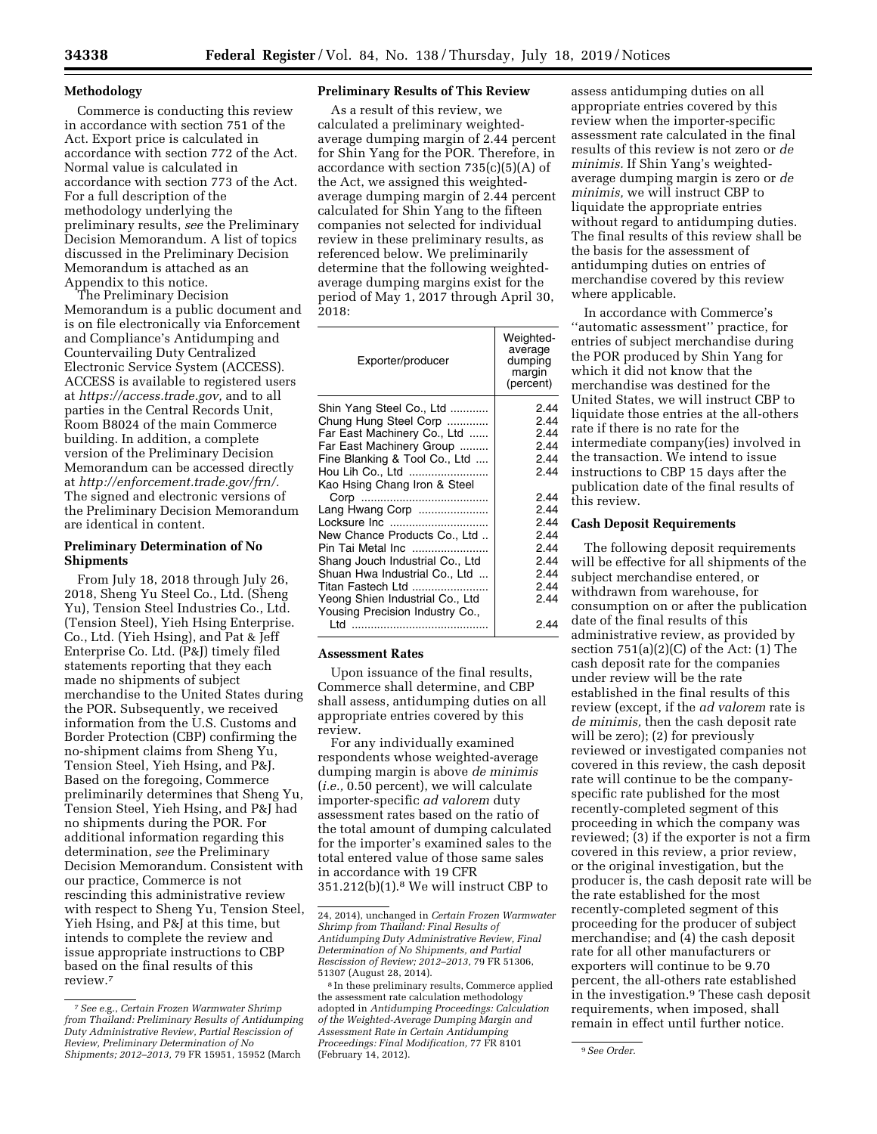### **Methodology**

Commerce is conducting this review in accordance with section 751 of the Act. Export price is calculated in accordance with section 772 of the Act. Normal value is calculated in accordance with section 773 of the Act. For a full description of the methodology underlying the preliminary results, *see* the Preliminary Decision Memorandum. A list of topics discussed in the Preliminary Decision Memorandum is attached as an Appendix to this notice.

The Preliminary Decision Memorandum is a public document and is on file electronically via Enforcement and Compliance's Antidumping and Countervailing Duty Centralized Electronic Service System (ACCESS). ACCESS is available to registered users at *[https://access.trade.gov,](https://access.trade.gov)* and to all parties in the Central Records Unit, Room B8024 of the main Commerce building. In addition, a complete version of the Preliminary Decision Memorandum can be accessed directly at *[http://enforcement.trade.gov/frn/.](http://enforcement.trade.gov/frn/)*  The signed and electronic versions of the Preliminary Decision Memorandum are identical in content.

### **Preliminary Determination of No Shipments**

From July 18, 2018 through July 26, 2018, Sheng Yu Steel Co., Ltd. (Sheng Yu), Tension Steel Industries Co., Ltd. (Tension Steel), Yieh Hsing Enterprise. Co., Ltd. (Yieh Hsing), and Pat & Jeff Enterprise Co. Ltd. (P&J) timely filed statements reporting that they each made no shipments of subject merchandise to the United States during the POR. Subsequently, we received information from the U.S. Customs and Border Protection (CBP) confirming the no-shipment claims from Sheng Yu, Tension Steel, Yieh Hsing, and P&J. Based on the foregoing, Commerce preliminarily determines that Sheng Yu, Tension Steel, Yieh Hsing, and P&J had no shipments during the POR. For additional information regarding this determination, *see* the Preliminary Decision Memorandum. Consistent with our practice, Commerce is not rescinding this administrative review with respect to Sheng Yu, Tension Steel, Yieh Hsing, and P&J at this time, but intends to complete the review and issue appropriate instructions to CBP based on the final results of this review.7

### **Preliminary Results of This Review**

As a result of this review, we calculated a preliminary weightedaverage dumping margin of 2.44 percent for Shin Yang for the POR. Therefore, in accordance with section 735(c)(5)(A) of the Act, we assigned this weightedaverage dumping margin of 2.44 percent calculated for Shin Yang to the fifteen companies not selected for individual review in these preliminary results, as referenced below. We preliminarily determine that the following weightedaverage dumping margins exist for the period of May 1, 2017 through April 30, 2018:

| Exporter/producer               | Weighted-<br>average<br>dumping<br>margin<br>(percent) |
|---------------------------------|--------------------------------------------------------|
| Shin Yang Steel Co., Ltd        | 2.44                                                   |
| Chung Hung Steel Corp           | 2.44                                                   |
| Far East Machinery Co., Ltd     | 2.44                                                   |
| Far East Machinery Group        | 2.44                                                   |
| Fine Blanking & Tool Co., Ltd   | 2.44                                                   |
| Hou Lih Co., Ltd                | 2.44                                                   |
| Kao Hsing Chang Iron & Steel    |                                                        |
|                                 | 2.44                                                   |
| Lang Hwang Corp                 | 2.44                                                   |
| Locksure Inc                    | 2.44                                                   |
| New Chance Products Co., Ltd    | 2.44                                                   |
| Pin Tai Metal Inc               | 2.44                                                   |
| Shang Jouch Industrial Co., Ltd | 2.44                                                   |
| Shuan Hwa Industrial Co., Ltd   | 2.44                                                   |
| Titan Fastech Ltd               | 2.44                                                   |
| Yeong Shien Industrial Co., Ltd | 2.44                                                   |
| Yousing Precision Industry Co., |                                                        |
|                                 | 2.44                                                   |

### **Assessment Rates**

Upon issuance of the final results, Commerce shall determine, and CBP shall assess, antidumping duties on all appropriate entries covered by this review.

For any individually examined respondents whose weighted-average dumping margin is above *de minimis*  (*i.e.,* 0.50 percent), we will calculate importer-specific *ad valorem* duty assessment rates based on the ratio of the total amount of dumping calculated for the importer's examined sales to the total entered value of those same sales in accordance with 19 CFR 351.212(b)(1).8 We will instruct CBP to

assess antidumping duties on all appropriate entries covered by this review when the importer-specific assessment rate calculated in the final results of this review is not zero or *de minimis.* If Shin Yang's weightedaverage dumping margin is zero or *de minimis,* we will instruct CBP to liquidate the appropriate entries without regard to antidumping duties. The final results of this review shall be the basis for the assessment of antidumping duties on entries of merchandise covered by this review where applicable.

In accordance with Commerce's ''automatic assessment'' practice, for entries of subject merchandise during the POR produced by Shin Yang for which it did not know that the merchandise was destined for the United States, we will instruct CBP to liquidate those entries at the all-others rate if there is no rate for the intermediate company(ies) involved in the transaction. We intend to issue instructions to CBP 15 days after the publication date of the final results of this review.

#### **Cash Deposit Requirements**

The following deposit requirements will be effective for all shipments of the subject merchandise entered, or withdrawn from warehouse, for consumption on or after the publication date of the final results of this administrative review, as provided by section  $751(a)(2)(C)$  of the Act:  $(1)$  The cash deposit rate for the companies under review will be the rate established in the final results of this review (except, if the *ad valorem* rate is *de minimis,* then the cash deposit rate will be zero); (2) for previously reviewed or investigated companies not covered in this review, the cash deposit rate will continue to be the companyspecific rate published for the most recently-completed segment of this proceeding in which the company was reviewed; (3) if the exporter is not a firm covered in this review, a prior review, or the original investigation, but the producer is, the cash deposit rate will be the rate established for the most recently-completed segment of this proceeding for the producer of subject merchandise; and (4) the cash deposit rate for all other manufacturers or exporters will continue to be 9.70 percent, the all-others rate established in the investigation.9 These cash deposit requirements, when imposed, shall remain in effect until further notice.

<sup>7</sup>*See e.*g., *Certain Frozen Warmwater Shrimp from Thailand: Preliminary Results of Antidumping Duty Administrative Review, Partial Rescission of Review, Preliminary Determination of No Shipments; 2012–2013,* 79 FR 15951, 15952 (March

<sup>24, 2014),</sup> unchanged in *Certain Frozen Warmwater Shrimp from Thailand: Final Results of Antidumping Duty Administrative Review, Final Determination of No Shipments, and Partial Rescission of Review; 2012–2013,* 79 FR 51306, 51307 (August 28, 2014).

<sup>8</sup> In these preliminary results, Commerce applied the assessment rate calculation methodology adopted in *Antidumping Proceedings: Calculation of the Weighted-Average Dumping Margin and Assessment Rate in Certain Antidumping Proceedings: Final Modification,* 77 FR 8101 (February 14, 2012). 9*See Order.*